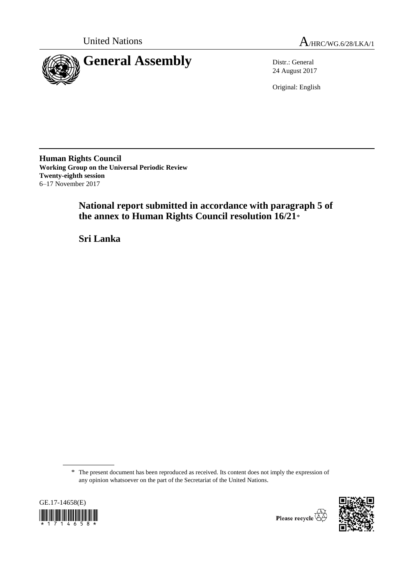

United Nations  $A_{HRC/WG.6/28/LKA/1}$ 

24 August 2017

Original: English

**Human Rights Council Working Group on the Universal Periodic Review Twenty-eighth session** 6–17 November 2017

> **National report submitted in accordance with paragraph 5 of the annex to Human Rights Council resolution 16/21**\*

**Sri Lanka**

\* The present document has been reproduced as received. Its content does not imply the expression of any opinion whatsoever on the part of the Secretariat of the United Nations.





Please recycle  $\overleftrightarrow{C}$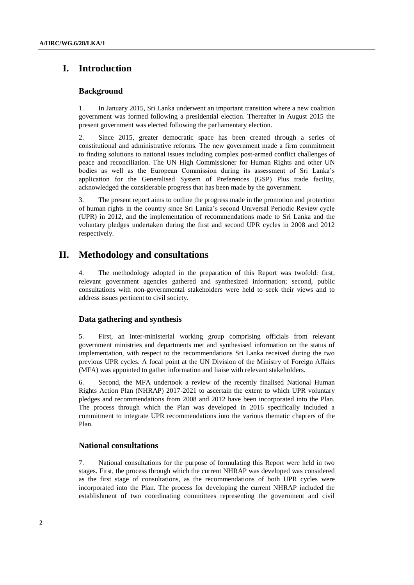# **I. Introduction**

## **Background**

1. In January 2015, Sri Lanka underwent an important transition where a new coalition government was formed following a presidential election. Thereafter in August 2015 the present government was elected following the parliamentary election.

2. Since 2015, greater democratic space has been created through a series of constitutional and administrative reforms. The new government made a firm commitment to finding solutions to national issues including complex post-armed conflict challenges of peace and reconciliation. The UN High Commissioner for Human Rights and other UN bodies as well as the European Commission during its assessment of Sri Lanka's application for the Generalised System of Preferences (GSP) Plus trade facility, acknowledged the considerable progress that has been made by the government.

3. The present report aims to outline the progress made in the promotion and protection of human rights in the country since Sri Lanka's second Universal Periodic Review cycle (UPR) in 2012, and the implementation of recommendations made to Sri Lanka and the voluntary pledges undertaken during the first and second UPR cycles in 2008 and 2012 respectively.

# **II. Methodology and consultations**

4. The methodology adopted in the preparation of this Report was twofold: first, relevant government agencies gathered and synthesized information; second, public consultations with non-governmental stakeholders were held to seek their views and to address issues pertinent to civil society.

## **Data gathering and synthesis**

5. First, an inter-ministerial working group comprising officials from relevant government ministries and departments met and synthesised information on the status of implementation, with respect to the recommendations Sri Lanka received during the two previous UPR cycles. A focal point at the UN Division of the Ministry of Foreign Affairs (MFA) was appointed to gather information and liaise with relevant stakeholders.

6. Second, the MFA undertook a review of the recently finalised National Human Rights Action Plan (NHRAP) 2017-2021 to ascertain the extent to which UPR voluntary pledges and recommendations from 2008 and 2012 have been incorporated into the Plan. The process through which the Plan was developed in 2016 specifically included a commitment to integrate UPR recommendations into the various thematic chapters of the Plan.

## **National consultations**

7. National consultations for the purpose of formulating this Report were held in two stages. First, the process through which the current NHRAP was developed was considered as the first stage of consultations, as the recommendations of both UPR cycles were incorporated into the Plan. The process for developing the current NHRAP included the establishment of two coordinating committees representing the government and civil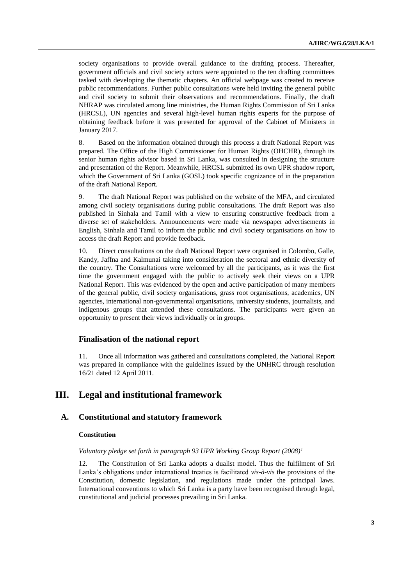society organisations to provide overall guidance to the drafting process. Thereafter, government officials and civil society actors were appointed to the ten drafting committees tasked with developing the thematic chapters. An official webpage was created to receive public recommendations. Further public consultations were held inviting the general public and civil society to submit their observations and recommendations. Finally, the draft NHRAP was circulated among line ministries, the Human Rights Commission of Sri Lanka (HRCSL), UN agencies and several high-level human rights experts for the purpose of obtaining feedback before it was presented for approval of the Cabinet of Ministers in January 2017.

8. Based on the information obtained through this process a draft National Report was prepared. The Office of the High Commissioner for Human Rights (OHCHR), through its senior human rights advisor based in Sri Lanka, was consulted in designing the structure and presentation of the Report. Meanwhile, HRCSL submitted its own UPR shadow report, which the Government of Sri Lanka (GOSL) took specific cognizance of in the preparation of the draft National Report.

9. The draft National Report was published on the website of the MFA, and circulated among civil society organisations during public consultations. The draft Report was also published in Sinhala and Tamil with a view to ensuring constructive feedback from a diverse set of stakeholders. Announcements were made via newspaper advertisements in English, Sinhala and Tamil to inform the public and civil society organisations on how to access the draft Report and provide feedback.

10. Direct consultations on the draft National Report were organised in Colombo, Galle, Kandy, Jaffna and Kalmunai taking into consideration the sectoral and ethnic diversity of the country. The Consultations were welcomed by all the participants, as it was the first time the government engaged with the public to actively seek their views on a UPR National Report. This was evidenced by the open and active participation of many members of the general public, civil society organisations, grass root organisations, academics, UN agencies, international non-governmental organisations, university students, journalists, and indigenous groups that attended these consultations. The participants were given an opportunity to present their views individually or in groups.

## **Finalisation of the national report**

11. Once all information was gathered and consultations completed, the National Report was prepared in compliance with the guidelines issued by the UNHRC through resolution 16/21 dated 12 April 2011.

# **III. Legal and institutional framework**

## **A. Constitutional and statutory framework**

#### **Constitution**

*Voluntary pledge set forth in paragraph 93 UPR Working Group Report (2008)<sup>1</sup>*

12. The Constitution of Sri Lanka adopts a dualist model. Thus the fulfilment of Sri Lanka's obligations under international treaties is facilitated *vis-à-vis* the provisions of the Constitution, domestic legislation, and regulations made under the principal laws. International conventions to which Sri Lanka is a party have been recognised through legal, constitutional and judicial processes prevailing in Sri Lanka.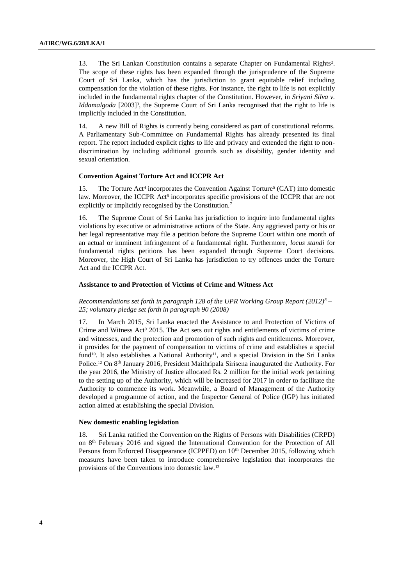13. The Sri Lankan Constitution contains a separate Chapter on Fundamental Rights<sup>2</sup>. The scope of these rights has been expanded through the jurisprudence of the Supreme Court of Sri Lanka, which has the jurisdiction to grant equitable relief including compensation for the violation of these rights. For instance, the right to life is not explicitly included in the fundamental rights chapter of the Constitution. However, in *Sriyani Silva v. Iddamalgoda* [2003]<sup>3</sup>, the Supreme Court of Sri Lanka recognised that the right to life is implicitly included in the Constitution.

14. A new Bill of Rights is currently being considered as part of constitutional reforms. A Parliamentary Sub-Committee on Fundamental Rights has already presented its final report. The report included explicit rights to life and privacy and extended the right to nondiscrimination by including additional grounds such as disability, gender identity and sexual orientation.

#### **Convention Against Torture Act and ICCPR Act**

15. The Torture Act<sup>4</sup> incorporates the Convention Against Torture<sup>5</sup> (CAT) into domestic law. Moreover, the ICCPR Act<sup>6</sup> incorporates specific provisions of the ICCPR that are not explicitly or implicitly recognised by the Constitution.<sup>7</sup>

16. The Supreme Court of Sri Lanka has jurisdiction to inquire into fundamental rights violations by executive or administrative actions of the State. Any aggrieved party or his or her legal representative may file a petition before the Supreme Court within one month of an actual or imminent infringement of a fundamental right. Furthermore, *locus standi* for fundamental rights petitions has been expanded through Supreme Court decisions. Moreover, the High Court of Sri Lanka has jurisdiction to try offences under the Torture Act and the ICCPR Act.

#### **Assistance to and Protection of Victims of Crime and Witness Act**

*Recommendations set forth in paragraph 128 of the UPR Working Group Report (2012)<sup>8</sup> – 25; voluntary pledge set forth in paragraph 90 (2008)*

17. In March 2015, Sri Lanka enacted the Assistance to and Protection of Victims of Crime and Witness Act<sup>9</sup> 2015. The Act sets out rights and entitlements of victims of crime and witnesses, and the protection and promotion of such rights and entitlements. Moreover, it provides for the payment of compensation to victims of crime and establishes a special fund<sup>10</sup>. It also establishes a National Authority<sup>11</sup>, and a special Division in the Sri Lanka Police.<sup>12</sup> On 8<sup>th</sup> January 2016, President Maithripala Sirisena inaugurated the Authority. For the year 2016, the Ministry of Justice allocated Rs. 2 million for the initial work pertaining to the setting up of the Authority, which will be increased for 2017 in order to facilitate the Authority to commence its work. Meanwhile, a Board of Management of the Authority developed a programme of action, and the Inspector General of Police (IGP) has initiated action aimed at establishing the special Division.

#### **New domestic enabling legislation**

18. Sri Lanka ratified the Convention on the Rights of Persons with Disabilities (CRPD) on 8th February 2016 and signed the International Convention for the Protection of All Persons from Enforced Disappearance (ICPPED) on 10<sup>th</sup> December 2015, following which measures have been taken to introduce comprehensive legislation that incorporates the provisions of the Conventions into domestic law.13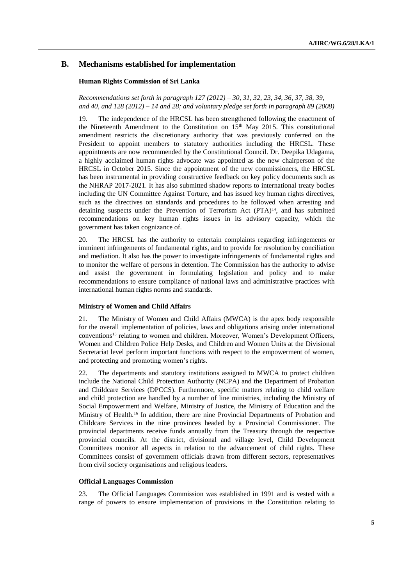## **B. Mechanisms established for implementation**

## **Human Rights Commission of Sri Lanka**

*Recommendations set forth in paragraph 127 (2012) – 30, 31, 32, 23, 34, 36, 37, 38, 39, and 40, and 128 (2012) – 14 and 28; and voluntary pledge set forth in paragraph 89 (2008)*

19. The independence of the HRCSL has been strengthened following the enactment of the Nineteenth Amendment to the Constitution on 15th May 2015. This constitutional amendment restricts the discretionary authority that was previously conferred on the President to appoint members to statutory authorities including the HRCSL. These appointments are now recommended by the Constitutional Council. Dr. Deepika Udagama, a highly acclaimed human rights advocate was appointed as the new chairperson of the HRCSL in October 2015. Since the appointment of the new commissioners, the HRCSL has been instrumental in providing constructive feedback on key policy documents such as the NHRAP 2017-2021. It has also submitted shadow reports to international treaty bodies including the UN Committee Against Torture, and has issued key human rights directives, such as the directives on standards and procedures to be followed when arresting and detaining suspects under the Prevention of Terrorism Act  $(PTA)^{14}$ , and has submitted recommendations on key human rights issues in its advisory capacity, which the government has taken cognizance of.

20. The HRCSL has the authority to entertain complaints regarding infringements or imminent infringements of fundamental rights, and to provide for resolution by conciliation and mediation. It also has the power to investigate infringements of fundamental rights and to monitor the welfare of persons in detention. The Commission has the authority to advise and assist the government in formulating legislation and policy and to make recommendations to ensure compliance of national laws and administrative practices with international human rights norms and standards.

#### **Ministry of Women and Child Affairs**

21. The Ministry of Women and Child Affairs (MWCA) is the apex body responsible for the overall implementation of policies, laws and obligations arising under international conventions<sup>15</sup> relating to women and children. Moreover, Women's Development Officers, Women and Children Police Help Desks, and Children and Women Units at the Divisional Secretariat level perform important functions with respect to the empowerment of women, and protecting and promoting women's rights.

22. The departments and statutory institutions assigned to MWCA to protect children include the National Child Protection Authority (NCPA) and the Department of Probation and Childcare Services (DPCCS). Furthermore, specific matters relating to child welfare and child protection are handled by a number of line ministries, including the Ministry of Social Empowerment and Welfare, Ministry of Justice, the Ministry of Education and the Ministry of Health.<sup>16</sup> In addition, there are nine Provincial Departments of Probation and Childcare Services in the nine provinces headed by a Provincial Commissioner. The provincial departments receive funds annually from the Treasury through the respective provincial councils. At the district, divisional and village level, Child Development Committees monitor all aspects in relation to the advancement of child rights. These Committees consist of government officials drawn from different sectors, representatives from civil society organisations and religious leaders.

### **Official Languages Commission**

23. The Official Languages Commission was established in 1991 and is vested with a range of powers to ensure implementation of provisions in the Constitution relating to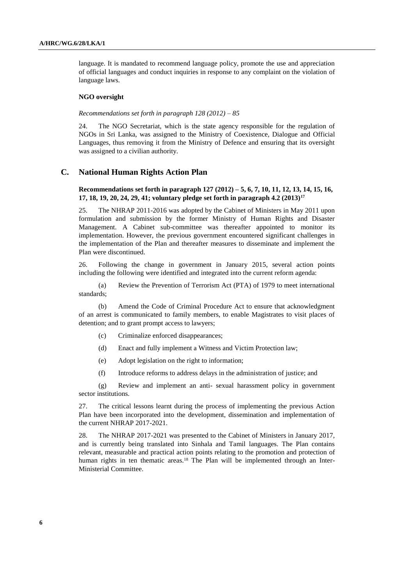language. It is mandated to recommend language policy, promote the use and appreciation of official languages and conduct inquiries in response to any complaint on the violation of language laws.

#### **NGO oversight**

#### *Recommendations set forth in paragraph 128 (2012) – 85*

24. The NGO Secretariat, which is the state agency responsible for the regulation of NGOs in Sri Lanka, was assigned to the Ministry of Coexistence, Dialogue and Official Languages, thus removing it from the Ministry of Defence and ensuring that its oversight was assigned to a civilian authority.

## **C. National Human Rights Action Plan**

## **Recommendations set forth in paragraph 127 (2012) – 5, 6, 7, 10, 11, 12, 13, 14, 15, 16, 17, 18, 19, 20, 24, 29, 41; voluntary pledge set forth in paragraph 4.2 (2013)<sup>17</sup>**

25. The NHRAP 2011-2016 was adopted by the Cabinet of Ministers in May 2011 upon formulation and submission by the former Ministry of Human Rights and Disaster Management. A Cabinet sub-committee was thereafter appointed to monitor its implementation. However, the previous government encountered significant challenges in the implementation of the Plan and thereafter measures to disseminate and implement the Plan were discontinued.

26. Following the change in government in January 2015, several action points including the following were identified and integrated into the current reform agenda:

(a) Review the Prevention of Terrorism Act (PTA) of 1979 to meet international standards;

(b) Amend the Code of Criminal Procedure Act to ensure that acknowledgment of an arrest is communicated to family members, to enable Magistrates to visit places of detention; and to grant prompt access to lawyers;

- (c) Criminalize enforced disappearances;
- (d) Enact and fully implement a Witness and Victim Protection law;
- (e) Adopt legislation on the right to information;
- (f) Introduce reforms to address delays in the administration of justice; and

(g) Review and implement an anti- sexual harassment policy in government sector institutions.

27. The critical lessons learnt during the process of implementing the previous Action Plan have been incorporated into the development, dissemination and implementation of the current NHRAP 2017-2021.

28. The NHRAP 2017-2021 was presented to the Cabinet of Ministers in January 2017, and is currently being translated into Sinhala and Tamil languages. The Plan contains relevant, measurable and practical action points relating to the promotion and protection of human rights in ten thematic areas.<sup>18</sup> The Plan will be implemented through an Inter-Ministerial Committee.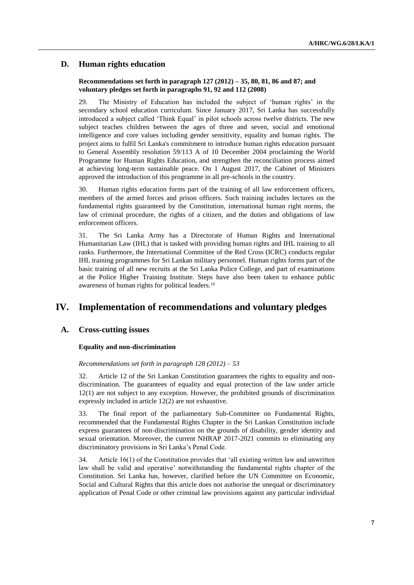## **D. Human rights education**

## **Recommendations set forth in paragraph 127 (2012) – 35, 80, 81, 86 and 87; and voluntary pledges set forth in paragraphs 91, 92 and 112 (2008)**

29. The Ministry of Education has included the subject of 'human rights' in the secondary school education curriculum. Since January 2017, Sri Lanka has successfully introduced a subject called 'Think Equal' in pilot schools across twelve districts. The new subject teaches children between the ages of three and seven, social and emotional intelligence and core values including gender sensitivity, equality and human rights. The project aims to fulfil Sri Lanka's commitment to introduce human rights education pursuant to General Assembly resolution 59/113 A of 10 December 2004 proclaiming the World Programme for Human Rights Education, and strengthen the reconciliation process aimed at achieving long-term sustainable peace. On 1 August 2017, the Cabinet of Ministers approved the introduction of this programme in all pre-schools in the country.

30. Human rights education forms part of the training of all law enforcement officers, members of the armed forces and prison officers. Such training includes lectures on the fundamental rights guaranteed by the Constitution, international human right norms, the law of criminal procedure, the rights of a citizen, and the duties and obligations of law enforcement officers.

31. The Sri Lanka Army has a Directorate of Human Rights and International Humanitarian Law (IHL) that is tasked with providing human rights and IHL training to all ranks. Furthermore, the International Committee of the Red Cross (ICRC) conducts regular IHL training programmes for Sri Lankan military personnel. Human rights forms part of the basic training of all new recruits at the Sri Lanka Police College, and part of examinations at the Police Higher Training Institute. Steps have also been taken to enhance public awareness of human rights for political leaders.<sup>19</sup>

# **IV. Implementation of recommendations and voluntary pledges**

## **A. Cross-cutting issues**

## **Equality and non-discrimination**

*Recommendations set forth in paragraph 128 (2012) – 53*

32. Article 12 of the Sri Lankan Constitution guarantees the rights to equality and nondiscrimination. The guarantees of equality and equal protection of the law under article 12(1) are not subject to any exception. However, the prohibited grounds of discrimination expressly included in article 12(2) are not exhaustive.

33. The final report of the parliamentary Sub-Committee on Fundamental Rights, recommended that the Fundamental Rights Chapter in the Sri Lankan Constitution include express guarantees of non-discrimination on the grounds of disability, gender identity and sexual orientation. Moreover, the current NHRAP 2017-2021 commits to eliminating any discriminatory provisions in Sri Lanka's Penal Code.

34. Article 16(1) of the Constitution provides that 'all existing written law and unwritten law shall be valid and operative' notwithstanding the fundamental rights chapter of the Constitution. Sri Lanka has, however, clarified before the UN Committee on Economic, Social and Cultural Rights that this article does not authorise the unequal or discriminatory application of Penal Code or other criminal law provisions against any particular individual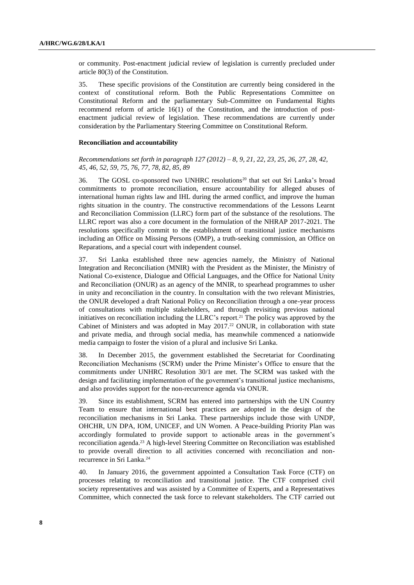or community. Post-enactment judicial review of legislation is currently precluded under article 80(3) of the Constitution.

35. These specific provisions of the Constitution are currently being considered in the context of constitutional reform. Both the Public Representations Committee on Constitutional Reform and the parliamentary Sub-Committee on Fundamental Rights recommend reform of article 16(1) of the Constitution, and the introduction of postenactment judicial review of legislation. These recommendations are currently under consideration by the Parliamentary Steering Committee on Constitutional Reform.

#### **Reconciliation and accountability**

### *Recommendations set forth in paragraph 127 (2012) – 8, 9, 21, 22, 23, 25, 26, 27, 28, 42, 45, 46, 52, 59, 75, 76, 77, 78, 82, 85, 89*

36. The GOSL co-sponsored two UNHRC resolutions<sup>20</sup> that set out Sri Lanka's broad commitments to promote reconciliation, ensure accountability for alleged abuses of international human rights law and IHL during the armed conflict, and improve the human rights situation in the country. The constructive recommendations of the Lessons Learnt and Reconciliation Commission (LLRC) form part of the substance of the resolutions. The LLRC report was also a core document in the formulation of the NHRAP 2017-2021. The resolutions specifically commit to the establishment of transitional justice mechanisms including an Office on Missing Persons (OMP), a truth-seeking commission, an Office on Reparations, and a special court with independent counsel.

37. Sri Lanka established three new agencies namely, the Ministry of National Integration and Reconciliation (MNIR) with the President as the Minister, the Ministry of National Co-existence, Dialogue and Official Languages, and the Office for National Unity and Reconciliation (ONUR) as an agency of the MNIR, to spearhead programmes to usher in unity and reconciliation in the country. In consultation with the two relevant Ministries, the ONUR developed a draft National Policy on Reconciliation through a one-year process of consultations with multiple stakeholders, and through revisiting previous national initiatives on reconciliation including the LLRC's report.<sup>21</sup> The policy was approved by the Cabinet of Ministers and was adopted in May  $2017<sup>22</sup>$  ONUR, in collaboration with state and private media, and through social media, has meanwhile commenced a nationwide media campaign to foster the vision of a plural and inclusive Sri Lanka.

38. In December 2015, the government established the Secretariat for Coordinating Reconciliation Mechanisms (SCRM) under the Prime Minister's Office to ensure that the commitments under UNHRC Resolution 30/1 are met. The SCRM was tasked with the design and facilitating implementation of the government's transitional justice mechanisms, and also provides support for the non-recurrence agenda via ONUR.

39. Since its establishment, SCRM has entered into partnerships with the UN Country Team to ensure that international best practices are adopted in the design of the reconciliation mechanisms in Sri Lanka. These partnerships include those with UNDP, OHCHR, UN DPA, IOM, UNICEF, and UN Women. A Peace-building Priority Plan was accordingly formulated to provide support to actionable areas in the government's reconciliation agenda.<sup>23</sup> A high-level Steering Committee on Reconciliation was established to provide overall direction to all activities concerned with reconciliation and nonrecurrence in Sri Lanka.<sup>24</sup>

40. In January 2016, the government appointed a Consultation Task Force (CTF) on processes relating to reconciliation and transitional justice. The CTF comprised civil society representatives and was assisted by a Committee of Experts, and a Representatives Committee, which connected the task force to relevant stakeholders. The CTF carried out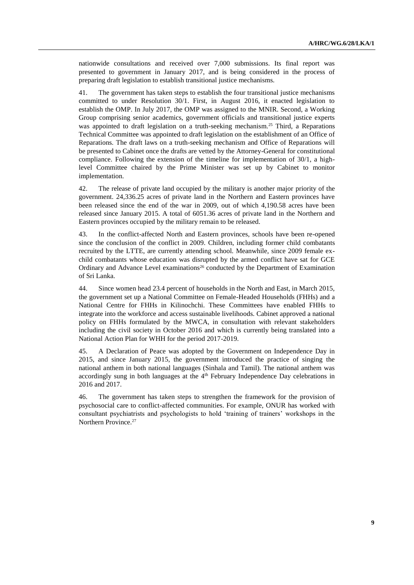nationwide consultations and received over 7,000 submissions. Its final report was presented to government in January 2017, and is being considered in the process of preparing draft legislation to establish transitional justice mechanisms.

41. The government has taken steps to establish the four transitional justice mechanisms committed to under Resolution 30/1. First, in August 2016, it enacted legislation to establish the OMP. In July 2017, the OMP was assigned to the MNIR. Second, a Working Group comprising senior academics, government officials and transitional justice experts was appointed to draft legislation on a truth-seeking mechanism.<sup>25</sup> Third, a Reparations Technical Committee was appointed to draft legislation on the establishment of an Office of Reparations. The draft laws on a truth-seeking mechanism and Office of Reparations will be presented to Cabinet once the drafts are vetted by the Attorney-General for constitutional compliance. Following the extension of the timeline for implementation of 30/1, a highlevel Committee chaired by the Prime Minister was set up by Cabinet to monitor implementation.

42. The release of private land occupied by the military is another major priority of the government. 24,336.25 acres of private land in the Northern and Eastern provinces have been released since the end of the war in 2009, out of which 4,190.58 acres have been released since January 2015. A total of 6051.36 acres of private land in the Northern and Eastern provinces occupied by the military remain to be released.

43. In the conflict-affected North and Eastern provinces, schools have been re-opened since the conclusion of the conflict in 2009. Children, including former child combatants recruited by the LTTE, are currently attending school. Meanwhile, since 2009 female exchild combatants whose education was disrupted by the armed conflict have sat for GCE Ordinary and Advance Level examinations<sup>26</sup> conducted by the Department of Examination of Sri Lanka.

44. Since women head 23.4 percent of households in the North and East, in March 2015, the government set up a National Committee on Female-Headed Households (FHHs) and a National Centre for FHHs in Kilinochchi. These Committees have enabled FHHs to integrate into the workforce and access sustainable livelihoods. Cabinet approved a national policy on FHHs formulated by the MWCA, in consultation with relevant stakeholders including the civil society in October 2016 and which is currently being translated into a National Action Plan for WHH for the period 2017-2019.

45. A Declaration of Peace was adopted by the Government on Independence Day in 2015, and since January 2015, the government introduced the practice of singing the national anthem in both national languages (Sinhala and Tamil). The national anthem was accordingly sung in both languages at the  $4<sup>th</sup>$  February Independence Day celebrations in 2016 and 2017.

46. The government has taken steps to strengthen the framework for the provision of psychosocial care to conflict-affected communities. For example, ONUR has worked with consultant psychiatrists and psychologists to hold 'training of trainers' workshops in the Northern Province.<sup>27</sup>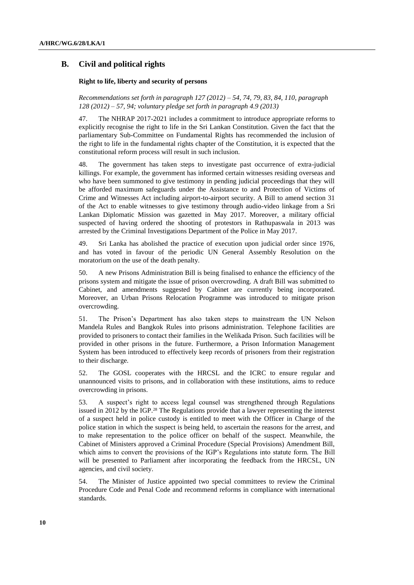## **B. Civil and political rights**

#### **Right to life, liberty and security of persons**

*Recommendations set forth in paragraph 127 (2012) – 54, 74, 79, 83, 84, 110, paragraph 128 (2012) – 57, 94; voluntary pledge set forth in paragraph 4.9 (2013)*

47. The NHRAP 2017-2021 includes a commitment to introduce appropriate reforms to explicitly recognise the right to life in the Sri Lankan Constitution. Given the fact that the parliamentary Sub-Committee on Fundamental Rights has recommended the inclusion of the right to life in the fundamental rights chapter of the Constitution, it is expected that the constitutional reform process will result in such inclusion.

48. The government has taken steps to investigate past occurrence of extra-judicial killings. For example, the government has informed certain witnesses residing overseas and who have been summoned to give testimony in pending judicial proceedings that they will be afforded maximum safeguards under the Assistance to and Protection of Victims of Crime and Witnesses Act including airport-to-airport security. A Bill to amend section 31 of the Act to enable witnesses to give testimony through audio-video linkage from a Sri Lankan Diplomatic Mission was gazetted in May 2017. Moreover, a military official suspected of having ordered the shooting of protestors in Rathupaswala in 2013 was arrested by the Criminal Investigations Department of the Police in May 2017.

49. Sri Lanka has abolished the practice of execution upon judicial order since 1976, and has voted in favour of the periodic UN General Assembly Resolution on the moratorium on the use of the death penalty.

50. A new Prisons Administration Bill is being finalised to enhance the efficiency of the prisons system and mitigate the issue of prison overcrowding. A draft Bill was submitted to Cabinet, and amendments suggested by Cabinet are currently being incorporated. Moreover, an Urban Prisons Relocation Programme was introduced to mitigate prison overcrowding.

51. The Prison's Department has also taken steps to mainstream the UN Nelson Mandela Rules and Bangkok Rules into prisons administration. Telephone facilities are provided to prisoners to contact their families in the Welikada Prison. Such facilities will be provided in other prisons in the future. Furthermore, a Prison Information Management System has been introduced to effectively keep records of prisoners from their registration to their discharge.

52. The GOSL cooperates with the HRCSL and the ICRC to ensure regular and unannounced visits to prisons, and in collaboration with these institutions, aims to reduce overcrowding in prisons.

53. A suspect's right to access legal counsel was strengthened through Regulations issued in 2012 by the IGP.<sup>28</sup> The Regulations provide that a lawyer representing the interest of a suspect held in police custody is entitled to meet with the Officer in Charge of the police station in which the suspect is being held, to ascertain the reasons for the arrest, and to make representation to the police officer on behalf of the suspect. Meanwhile, the Cabinet of Ministers approved a Criminal Procedure (Special Provisions) Amendment Bill, which aims to convert the provisions of the IGP's Regulations into statute form. The Bill will be presented to Parliament after incorporating the feedback from the HRCSL, UN agencies, and civil society.

54. The Minister of Justice appointed two special committees to review the Criminal Procedure Code and Penal Code and recommend reforms in compliance with international standards.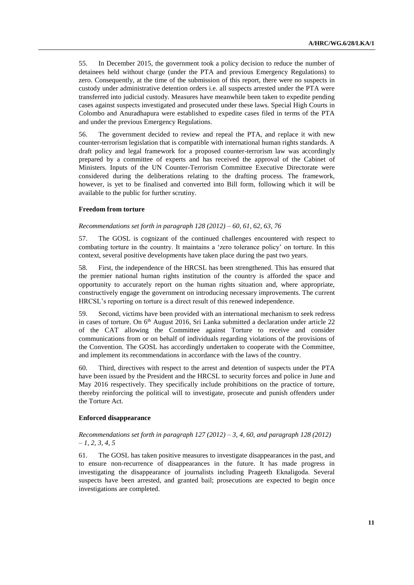55. In December 2015, the government took a policy decision to reduce the number of detainees held without charge (under the PTA and previous Emergency Regulations) to zero. Consequently, at the time of the submission of this report, there were no suspects in custody under administrative detention orders i.e. all suspects arrested under the PTA were transferred into judicial custody. Measures have meanwhile been taken to expedite pending cases against suspects investigated and prosecuted under these laws. Special High Courts in Colombo and Anuradhapura were established to expedite cases filed in terms of the PTA and under the previous Emergency Regulations.

56. The government decided to review and repeal the PTA, and replace it with new counter-terrorism legislation that is compatible with international human rights standards. A draft policy and legal framework for a proposed counter-terrorism law was accordingly prepared by a committee of experts and has received the approval of the Cabinet of Ministers. Inputs of the UN Counter-Terrorism Committee Executive Directorate were considered during the deliberations relating to the drafting process. The framework, however, is yet to be finalised and converted into Bill form, following which it will be available to the public for further scrutiny.

## **Freedom from torture**

#### *Recommendations set forth in paragraph 128 (2012) – 60, 61, 62, 63, 76*

57. The GOSL is cognizant of the continued challenges encountered with respect to combating torture in the country. It maintains a 'zero tolerance policy' on torture. In this context, several positive developments have taken place during the past two years.

58. First, the independence of the HRCSL has been strengthened. This has ensured that the premier national human rights institution of the country is afforded the space and opportunity to accurately report on the human rights situation and, where appropriate, constructively engage the government on introducing necessary improvements. The current HRCSL's reporting on torture is a direct result of this renewed independence.

59. Second, victims have been provided with an international mechanism to seek redress in cases of torture. On  $6<sup>th</sup>$  August 2016, Sri Lanka submitted a declaration under article 22 of the CAT allowing the Committee against Torture to receive and consider communications from or on behalf of individuals regarding violations of the provisions of the Convention. The GOSL has accordingly undertaken to cooperate with the Committee, and implement its recommendations in accordance with the laws of the country.

60. Third, directives with respect to the arrest and detention of suspects under the PTA have been issued by the President and the HRCSL to security forces and police in June and May 2016 respectively. They specifically include prohibitions on the practice of torture, thereby reinforcing the political will to investigate, prosecute and punish offenders under the Torture Act.

#### **Enforced disappearance**

## *Recommendations set forth in paragraph 127 (2012) – 3, 4, 60, and paragraph 128 (2012) – 1, 2, 3, 4, 5*

61. The GOSL has taken positive measures to investigate disappearances in the past, and to ensure non-recurrence of disappearances in the future. It has made progress in investigating the disappearance of journalists including Prageeth Eknaligoda. Several suspects have been arrested, and granted bail; prosecutions are expected to begin once investigations are completed.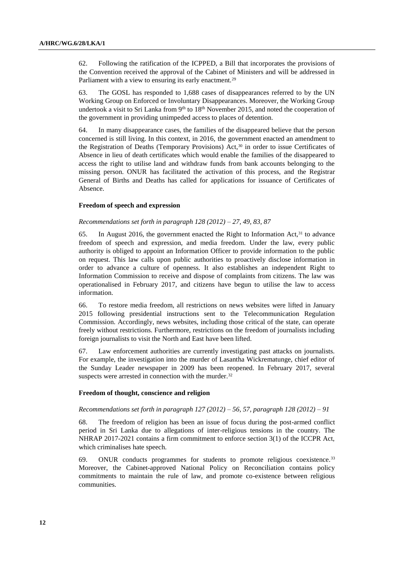62. Following the ratification of the ICPPED, a Bill that incorporates the provisions of the Convention received the approval of the Cabinet of Ministers and will be addressed in Parliament with a view to ensuring its early enactment.<sup>29</sup>

63. The GOSL has responded to 1,688 cases of disappearances referred to by the UN Working Group on Enforced or Involuntary Disappearances. Moreover, the Working Group undertook a visit to Sri Lanka from  $9<sup>th</sup>$  to  $18<sup>th</sup>$  November 2015, and noted the cooperation of the government in providing unimpeded access to places of detention.

64. In many disappearance cases, the families of the disappeared believe that the person concerned is still living. In this context, in 2016, the government enacted an amendment to the Registration of Deaths (Temporary Provisions) Act,<sup>30</sup> in order to issue Certificates of Absence in lieu of death certificates which would enable the families of the disappeared to access the right to utilise land and withdraw funds from bank accounts belonging to the missing person. ONUR has facilitated the activation of this process, and the Registrar General of Births and Deaths has called for applications for issuance of Certificates of Absence.

#### **Freedom of speech and expression**

#### *Recommendations set forth in paragraph 128 (2012) – 27, 49, 83, 87*

65. In August 2016, the government enacted the Right to Information Act,  $31$  to advance freedom of speech and expression, and media freedom. Under the law, every public authority is obliged to appoint an Information Officer to provide information to the public on request. This law calls upon public authorities to proactively disclose information in order to advance a culture of openness. It also establishes an independent Right to Information Commission to receive and dispose of complaints from citizens. The law was operationalised in February 2017, and citizens have begun to utilise the law to access information.

66. To restore media freedom, all restrictions on news websites were lifted in January 2015 following presidential instructions sent to the Telecommunication Regulation Commission. Accordingly, news websites, including those critical of the state, can operate freely without restrictions. Furthermore, restrictions on the freedom of journalists including foreign journalists to visit the North and East have been lifted.

67. Law enforcement authorities are currently investigating past attacks on journalists. For example, the investigation into the murder of Lasantha Wickrematunge, chief editor of the Sunday Leader newspaper in 2009 has been reopened. In February 2017, several suspects were arrested in connection with the murder.<sup>32</sup>

#### **Freedom of thought, conscience and religion**

## *Recommendations set forth in paragraph 127 (2012) – 56, 57, paragraph 128 (2012) – 91*

68. The freedom of religion has been an issue of focus during the post-armed conflict period in Sri Lanka due to allegations of inter-religious tensions in the country. The NHRAP 2017-2021 contains a firm commitment to enforce section 3(1) of the ICCPR Act, which criminalises hate speech.

69. ONUR conducts programmes for students to promote religious coexistence.<sup>33</sup> Moreover, the Cabinet-approved National Policy on Reconciliation contains policy commitments to maintain the rule of law, and promote co-existence between religious communities.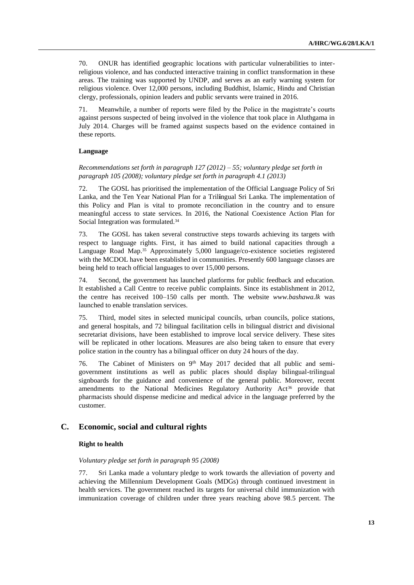70. ONUR has identified geographic locations with particular vulnerabilities to interreligious violence, and has conducted interactive training in conflict transformation in these areas. The training was supported by UNDP, and serves as an early warning system for religious violence. Over 12,000 persons, including Buddhist, Islamic, Hindu and Christian clergy, professionals, opinion leaders and public servants were trained in 2016.

Meanwhile, a number of reports were filed by the Police in the magistrate's courts against persons suspected of being involved in the violence that took place in Aluthgama in July 2014. Charges will be framed against suspects based on the evidence contained in these reports.

### **Language**

*Recommendations set forth in paragraph 127 (2012) – 55; voluntary pledge set forth in paragraph 105 (2008); voluntary pledge set forth in paragraph 4.1 (2013)*

72. The GOSL has prioritised the implementation of the Official Language Policy of Sri Lanka, and the Ten Year National Plan for a Tril**i**ngual Sri Lanka. The implementation of this Policy and Plan is vital to promote reconciliation in the country and to ensure meaningful access to state services. In 2016, the National Coexistence Action Plan for Social Integration was formulated.<sup>34</sup>

73. The GOSL has taken several constructive steps towards achieving its targets with respect to language rights. First, it has aimed to build national capacities through a Language Road Map.<sup>35</sup> Approximately 5,000 language/co-existence societies registered with the MCDOL have been established in communities. Presently 600 language classes are being held to teach official languages to over 15,000 persons.

74. Second, the government has launched platforms for public feedback and education. It established a Call Centre to receive public complaints. Since its establishment in 2012, the centre has received 100–150 calls per month. The website *[www.bashawa.lk](http://www.bashawa.lk/)* was launched to enable translation services.

75. Third, model sites in selected municipal councils, urban councils, police stations, and general hospitals, and 72 bilingual facilitation cells in bilingual district and divisional secretariat divisions, have been established to improve local service delivery. These sites will be replicated in other locations. Measures are also being taken to ensure that every police station in the country has a bilingual officer on duty 24 hours of the day.

76. The Cabinet of Ministers on 9<sup>th</sup> May 2017 decided that all public and semigovernment institutions as well as public places should display bilingual-trilingual signboards for the guidance and convenience of the general public. Moreover, recent amendments to the National Medicines Regulatory Authority Act<sup>36</sup> provide that pharmacists should dispense medicine and medical advice in the language preferred by the customer.

## **C. Economic, social and cultural rights**

## **Right to health**

### *Voluntary pledge set forth in paragraph 95 (2008)*

77. Sri Lanka made a voluntary pledge to work towards the alleviation of poverty and achieving the Millennium Development Goals (MDGs) through continued investment in health services. The government reached its targets for universal child immunization with immunization coverage of children under three years reaching above 98.5 percent. The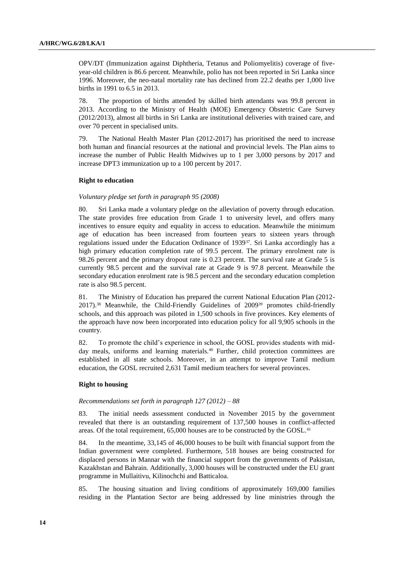OPV/DT (Immunization against Diphtheria, Tetanus and Poliomyelitis) coverage of fiveyear-old children is 86.6 percent. Meanwhile, polio has not been reported in Sri Lanka since 1996. Moreover, the neo-natal mortality rate has declined from 22.2 deaths per 1,000 live births in 1991 to 6.5 in 2013.

78. The proportion of births attended by skilled birth attendants was 99.8 percent in 2013. According to the Ministry of Health (MOE) Emergency Obstetric Care Survey (2012/2013), almost all births in Sri Lanka are institutional deliveries with trained care, and over 70 percent in specialised units.

79. The National Health Master Plan (2012-2017) has prioritised the need to increase both human and financial resources at the national and provincial levels. The Plan aims to increase the number of Public Health Midwives up to 1 per 3,000 persons by 2017 and increase DPT3 immunization up to a 100 percent by 2017.

#### **Right to education**

#### *Voluntary pledge set forth in paragraph 95 (2008)*

80. Sri Lanka made a voluntary pledge on the alleviation of poverty through education. The state provides free education from Grade 1 to university level, and offers many incentives to ensure equity and equality in access to education. Meanwhile the minimum age of education has been increased from fourteen years to sixteen years through regulations issued under the Education Ordinance of 193937. Sri Lanka accordingly has a high primary education completion rate of 99.5 percent. The primary enrolment rate is 98.26 percent and the primary dropout rate is 0.23 percent. The survival rate at Grade 5 is currently 98.5 percent and the survival rate at Grade 9 is 97.8 percent. Meanwhile the secondary education enrolment rate is 98.5 percent and the secondary education completion rate is also 98.5 percent.

81. The Ministry of Education has prepared the current National Education Plan (2012- 2017).<sup>38</sup> Meanwhile, the Child-Friendly Guidelines of 2009<sup>39</sup> promotes child-friendly schools, and this approach was piloted in 1,500 schools in five provinces. Key elements of the approach have now been incorporated into education policy for all 9,905 schools in the country.

82. To promote the child's experience in school, the GOSL provides students with midday meals, uniforms and learning materials.<sup>40</sup> Further, child protection committees are established in all state schools. Moreover, in an attempt to improve Tamil medium education, the GOSL recruited 2,631 Tamil medium teachers for several provinces.

#### **Right to housing**

#### *Recommendations set forth in paragraph 127 (2012) – 88*

83. The initial needs assessment conducted in November 2015 by the government revealed that there is an outstanding requirement of 137,500 houses in conflict-affected areas. Of the total requirement, 65,000 houses are to be constructed by the GOSL.<sup>41</sup>

84. In the meantime, 33,145 of 46,000 houses to be built with financial support from the Indian government were completed. Furthermore, 518 houses are being constructed for displaced persons in Mannar with the financial support from the governments of Pakistan, Kazakhstan and Bahrain. Additionally, 3,000 houses will be constructed under the EU grant programme in Mullaitivu, Kilinochchi and Batticaloa.

85. The housing situation and living conditions of approximately 169,000 families residing in the Plantation Sector are being addressed by line ministries through the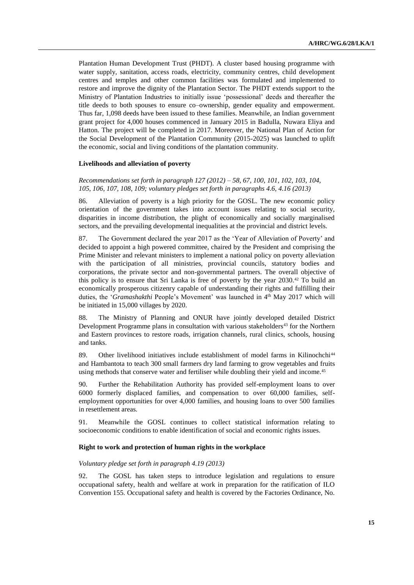Plantation Human Development Trust (PHDT). A cluster based housing programme with water supply, sanitation, access roads, electricity, community centres, child development centres and temples and other common facilities was formulated and implemented to restore and improve the dignity of the Plantation Sector. The PHDT extends support to the Ministry of Plantation Industries to initially issue 'possessional' deeds and thereafter the title deeds to both spouses to ensure co–ownership, gender equality and empowerment. Thus far, 1,098 deeds have been issued to these families. Meanwhile, an Indian government grant project for 4,000 houses commenced in January 2015 in Badulla, Nuwara Eliya and Hatton. The project will be completed in 2017. Moreover, the National Plan of Action for the Social Development of the Plantation Community (2015-2025) was launched to uplift the economic, social and living conditions of the plantation community.

#### **Livelihoods and alleviation of poverty**

*Recommendations set forth in paragraph 127 (2012) – 58, 67, 100, 101, 102, 103, 104, 105, 106, 107, 108, 109; voluntary pledges set forth in paragraphs 4.6, 4.16 (2013)*

86. Alleviation of poverty is a high priority for the GOSL. The new economic policy orientation of the government takes into account issues relating to social security, disparities in income distribution, the plight of economically and socially marginalised sectors, and the prevailing developmental inequalities at the provincial and district levels.

87. The Government declared the year 2017 as the 'Year of Alleviation of Poverty' and decided to appoint a high powered committee, chaired by the President and comprising the Prime Minister and relevant ministers to implement a national policy on poverty alleviation with the participation of all ministries, provincial councils, statutory bodies and corporations, the private sector and non-governmental partners. The overall objective of this policy is to ensure that Sri Lanka is free of poverty by the year 2030.<sup>42</sup> To build an economically prosperous citizenry capable of understanding their rights and fulfilling their duties, the '*Gramashakthi* People's Movement' was launched in 4<sup>th</sup> May 2017 which will be initiated in 15,000 villages by 2020.

88. The Ministry of Planning and ONUR have jointly developed detailed District Development Programme plans in consultation with various stakeholders $43$  for the Northern and Eastern provinces to restore roads, irrigation channels, rural clinics, schools, housing and tanks.

89. Other livelihood initiatives include establishment of model farms in Kilinochchi<sup>44</sup> and Hambantota to teach 300 small farmers dry land farming to grow vegetables and fruits using methods that conserve water and fertiliser while doubling their yield and income.<sup>45</sup>

90. Further the Rehabilitation Authority has provided self-employment loans to over 6000 formerly displaced families, and compensation to over 60,000 families, selfemployment opportunities for over 4,000 families, and housing loans to over 500 families in resettlement areas.

91. Meanwhile the GOSL continues to collect statistical information relating to socioeconomic conditions to enable identification of social and economic rights issues.

## **Right to work and protection of human rights in the workplace**

#### *Voluntary pledge set forth in paragraph 4.19 (2013)*

92. The GOSL has taken steps to introduce legislation and regulations to ensure occupational safety, health and welfare at work in preparation for the ratification of ILO Convention 155. Occupational safety and health is covered by the Factories Ordinance, No.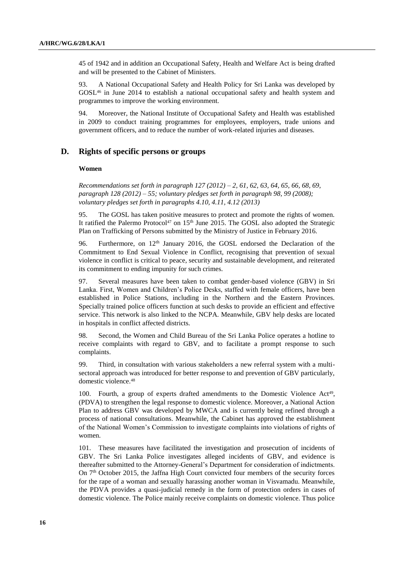45 of 1942 and in addition an Occupational Safety, Health and Welfare Act is being drafted and will be presented to the Cabinet of Ministers.

93. A National Occupational Safety and Health Policy for Sri Lanka was developed by GOSL<sup>46</sup> in June 2014 to establish a national occupational safety and health system and programmes to improve the working environment.

94. Moreover, the National Institute of Occupational Safety and Health was established in 2009 to conduct training programmes for employees, employers, trade unions and government officers, and to reduce the number of work-related injuries and diseases.

## **D. Rights of specific persons or groups**

#### **Women**

*Recommendations set forth in paragraph 127 (2012) – 2, 61, 62, 63, 64, 65, 66, 68, 69, paragraph 128 (2012) – 55; voluntary pledges set forth in paragraph 98, 99 (2008); voluntary pledges set forth in paragraphs 4.10, 4.11, 4.12 (2013)*

95. The GOSL has taken positive measures to protect and promote the rights of women. It ratified the Palermo Protocol<sup>47</sup> on  $15<sup>th</sup>$  June 2015. The GOSL also adopted the Strategic Plan on Trafficking of Persons submitted by the Ministry of Justice in February 2016.

96. Furthermore, on  $12<sup>th</sup>$  January 2016, the GOSL endorsed the Declaration of the Commitment to End Sexual Violence in Conflict, recognising that prevention of sexual violence in conflict is critical to peace, security and sustainable development, and reiterated its commitment to ending impunity for such crimes.

97. Several measures have been taken to combat gender-based violence (GBV) in Sri Lanka. First, Women and Children's Police Desks, staffed with female officers, have been established in Police Stations, including in the Northern and the Eastern Provinces. Specially trained police officers function at such desks to provide an efficient and effective service. This network is also linked to the NCPA. Meanwhile, GBV help desks are located in hospitals in conflict affected districts.

98. Second, the Women and Child Bureau of the Sri Lanka Police operates a hotline to receive complaints with regard to GBV, and to facilitate a prompt response to such complaints.

99. Third, in consultation with various stakeholders a new referral system with a multisectoral approach was introduced for better response to and prevention of GBV particularly, domestic violence.<sup>48</sup>

100. Fourth, a group of experts drafted amendments to the Domestic Violence Act<sup>49</sup>, (PDVA) to strengthen the legal response to domestic violence. Moreover, a National Action Plan to address GBV was developed by MWCA and is currently being refined through a process of national consultations. Meanwhile, the Cabinet has approved the establishment of the National Women's Commission to investigate complaints into violations of rights of women.

101. These measures have facilitated the investigation and prosecution of incidents of GBV. The Sri Lanka Police investigates alleged incidents of GBV, and evidence is thereafter submitted to the Attorney-General's Department for consideration of indictments. On 7th October 2015, the Jaffna High Court convicted four members of the security forces for the rape of a woman and sexually harassing another woman in Visvamadu. Meanwhile, the PDVA provides a quasi-judicial remedy in the form of protection orders in cases of domestic violence. The Police mainly receive complaints on domestic violence. Thus police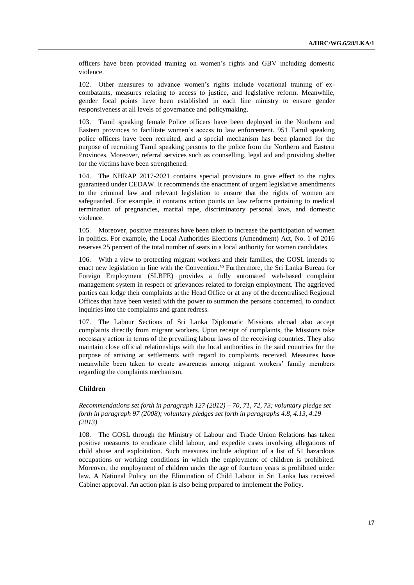officers have been provided training on women's rights and GBV including domestic violence.

102. Other measures to advance women's rights include vocational training of excombatants, measures relating to access to justice, and legislative reform. Meanwhile, gender focal points have been established in each line ministry to ensure gender responsiveness at all levels of governance and policymaking.

103. Tamil speaking female Police officers have been deployed in the Northern and Eastern provinces to facilitate women's access to law enforcement. 951 Tamil speaking police officers have been recruited, and a special mechanism has been planned for the purpose of recruiting Tamil speaking persons to the police from the Northern and Eastern Provinces. Moreover, referral services such as counselling, legal aid and providing shelter for the victims have been strengthened.

104. The NHRAP 2017-2021 contains special provisions to give effect to the rights guaranteed under CEDAW. It recommends the enactment of urgent legislative amendments to the criminal law and relevant legislation to ensure that the rights of women are safeguarded. For example, it contains action points on law reforms pertaining to medical termination of pregnancies, marital rape, discriminatory personal laws, and domestic violence.

105. Moreover, positive measures have been taken to increase the participation of women in politics. For example, the Local Authorities Elections (Amendment) Act, No. 1 of 2016 reserves 25 percent of the total number of seats in a local authority for women candidates.

106. With a view to protecting migrant workers and their families, the GOSL intends to enact new legislation in line with the Convention.<sup>50</sup> Furthermore, the Sri Lanka Bureau for Foreign Employment (SLBFE) provides a fully automated web-based complaint management system in respect of grievances related to foreign employment. The aggrieved parties can lodge their complaints at the Head Office or at any of the decentralised Regional Offices that have been vested with the power to summon the persons concerned, to conduct inquiries into the complaints and grant redress.

107. The Labour Sections of Sri Lanka Diplomatic Missions abroad also accept complaints directly from migrant workers. Upon receipt of complaints, the Missions take necessary action in terms of the prevailing labour laws of the receiving countries. They also maintain close official relationships with the local authorities in the said countries for the purpose of arriving at settlements with regard to complaints received. Measures have meanwhile been taken to create awareness among migrant workers' family members regarding the complaints mechanism.

#### **Children**

*Recommendations set forth in paragraph 127 (2012) – 70, 71, 72, 73; voluntary pledge set forth in paragraph 97 (2008); voluntary pledges set forth in paragraphs 4.8, 4.13, 4.19 (2013)*

108. The GOSL through the Ministry of Labour and Trade Union Relations has taken positive measures to eradicate child labour, and expedite cases involving allegations of child abuse and exploitation. Such measures include adoption of a list of 51 hazardous occupations or working conditions in which the employment of children is prohibited. Moreover, the employment of children under the age of fourteen years is prohibited under law. A National Policy on the Elimination of Child Labour in Sri Lanka has received Cabinet approval. An action plan is also being prepared to implement the Policy.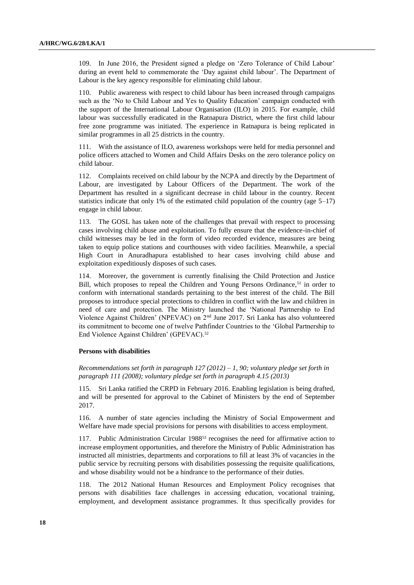109. In June 2016, the President signed a pledge on 'Zero Tolerance of Child Labour' during an event held to commemorate the 'Day against child labour'. The Department of Labour is the key agency responsible for eliminating child labour.

110. Public awareness with respect to child labour has been increased through campaigns such as the 'No to Child Labour and Yes to Quality Education' campaign conducted with the support of the International Labour Organisation (ILO) in 2015. For example, child labour was successfully eradicated in the Ratnapura District, where the first child labour free zone programme was initiated. The experience in Ratnapura is being replicated in similar programmes in all 25 districts in the country.

111. With the assistance of ILO, awareness workshops were held for media personnel and police officers attached to Women and Child Affairs Desks on the zero tolerance policy on child labour.

112. Complaints received on child labour by the NCPA and directly by the Department of Labour, are investigated by Labour Officers of the Department. The work of the Department has resulted in a significant decrease in child labour in the country. Recent statistics indicate that only 1% of the estimated child population of the country (age  $5-17$ ) engage in child labour.

113. The GOSL has taken note of the challenges that prevail with respect to processing cases involving child abuse and exploitation. To fully ensure that the evidence-in-chief of child witnesses may be led in the form of video recorded evidence, measures are being taken to equip police stations and courthouses with video facilities. Meanwhile, a special High Court in Anuradhapura established to hear cases involving child abuse and exploitation expeditiously disposes of such cases.

114. Moreover, the government is currently finalising the Child Protection and Justice Bill, which proposes to repeal the Children and Young Persons Ordinance,<sup>51</sup> in order to conform with international standards pertaining to the best interest of the child. The Bill proposes to introduce special protections to children in conflict with the law and children in need of care and protection. The Ministry launched the 'National Partnership to End Violence Against Children' (NPEVAC) on 2nd June 2017. Sri Lanka has also volunteered its commitment to become one of twelve Pathfinder Countries to the 'Global Partnership to End Violence Against Children' (GPEVAC).<sup>52</sup>

#### **Persons with disabilities**

*Recommendations set forth in paragraph 127 (2012) – 1, 90; voluntary pledge set forth in paragraph 111 (2008); voluntary pledge set forth in paragraph 4.15 (2013)*

115. Sri Lanka ratified the CRPD in February 2016. Enabling legislation is being drafted, and will be presented for approval to the Cabinet of Ministers by the end of September 2017.

116. A number of state agencies including the Ministry of Social Empowerment and Welfare have made special provisions for persons with disabilities to access employment.

117. Public Administration Circular 1988<sup>53</sup> recognises the need for affirmative action to increase employment opportunities, and therefore the Ministry of Public Administration has instructed all ministries, departments and corporations to fill at least 3% of vacancies in the public service by recruiting persons with disabilities possessing the requisite qualifications, and whose disability would not be a hindrance to the performance of their duties.

118. The 2012 National Human Resources and Employment Policy recognises that persons with disabilities face challenges in accessing education, vocational training, employment, and development assistance programmes. It thus specifically provides for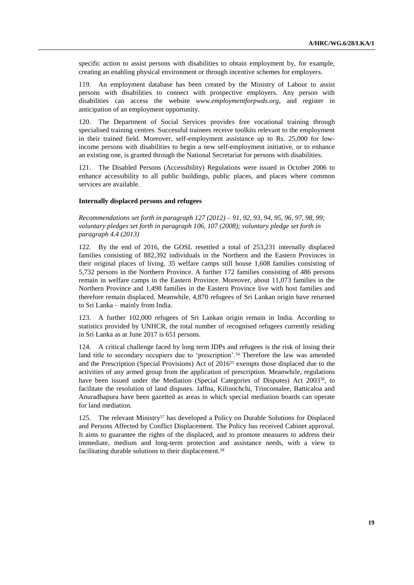specific action to assist persons with disabilities to obtain employment by, for example, creating an enabling physical environment or through incentive schemes for employers.

119. An employment database has been created by the Ministry of Labour to assist persons with disabilities to connect with prospective employers. Any person with disabilities can access the website *www.employmentforpwds.org*, and register in anticipation of an employment opportunity.

120. The Department of Social Services provides free vocational training through specialised training centres. Successful trainees receive toolkits relevant to the employment in their trained field. Moreover, self-employment assistance up to Rs. 25,000 for lowincome persons with disabilities to begin a new self-employment initiative, or to enhance an existing one, is granted through the National Secretariat for persons with disabilities.

121. The Disabled Persons (Accessibility) Regulations were issued in October 2006 to enhance accessibility to all public buildings, public places, and places where common services are available.

### **Internally displaced persons and refugees**

*Recommendations set forth in paragraph 127 (2012) – 91, 92, 93, 94, 95, 96, 97, 98, 99; voluntary pledges set forth in paragraph 106, 107 (2008); voluntary pledge set forth in paragraph 4.4 (2013)*

122. By the end of 2016, the GOSL resettled a total of 253,231 internally displaced families consisting of 882,392 individuals in the Northern and the Eastern Provinces in their original places of living. 35 welfare camps still house 1,608 families consisting of 5,732 persons in the Northern Province. A further 172 families consisting of 486 persons remain in welfare camps in the Eastern Province. Moreover, about 11,073 families in the Northern Province and 1,498 families in the Eastern Province live with host families and therefore remain displaced. Meanwhile, 4,870 refugees of Sri Lankan origin have returned to Sri Lanka – mainly from India.

123. A further 102,000 refugees of Sri Lankan origin remain in India. According to statistics provided by UNHCR, the total number of recognised refugees currently residing in Sri Lanka as at June 2017 is 651 persons.

124. A critical challenge faced by long term IDPs and refugees is the risk of losing their land title to secondary occupiers due to 'prescription'.<sup>54</sup> Therefore the law was amended and the Prescription (Special Provisions) Act of 2016<sup>55</sup> exempts those displaced due to the activities of any armed group from the application of prescription. Meanwhile, regulations have been issued under the Mediation (Special Categories of Disputes) Act 2003<sup>56</sup>, to facilitate the resolution of land disputes. Jaffna, Kilinochchi, Trincomalee, Batticaloa and Anuradhapura have been gazetted as areas in which special mediation boards can operate for land mediation.

125. The relevant Ministry<sup>57</sup> has developed a Policy on Durable Solutions for Displaced and Persons Affected by Conflict Displacement. The Policy has received Cabinet approval. It aims to guarantee the rights of the displaced, and to promote measures to address their immediate, medium and long-term protection and assistance needs, with a view to facilitating durable solutions to their displacement.<sup>58</sup>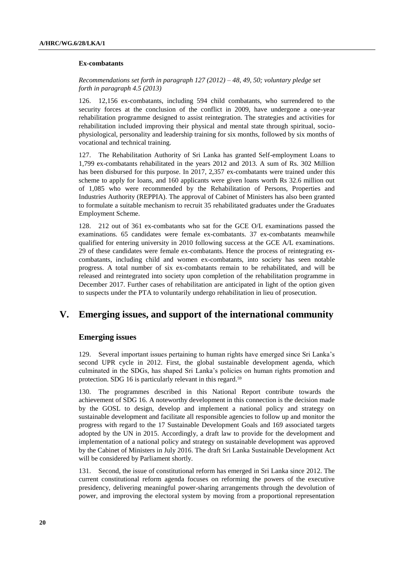#### **Ex-combatants**

*Recommendations set forth in paragraph 127 (2012) – 48, 49, 50; voluntary pledge set forth in paragraph 4.5 (2013)*

126. 12,156 ex-combatants, including 594 child combatants, who surrendered to the security forces at the conclusion of the conflict in 2009, have undergone a one-year rehabilitation programme designed to assist reintegration. The strategies and activities for rehabilitation included improving their physical and mental state through spiritual, sociophysiological, personality and leadership training for six months, followed by six months of vocational and technical training.

127. The Rehabilitation Authority of Sri Lanka has granted Self-employment Loans to 1,799 ex-combatants rehabilitated in the years 2012 and 2013. A sum of Rs. 302 Million has been disbursed for this purpose. In 2017, 2,357 ex-combatants were trained under this scheme to apply for loans, and 160 applicants were given loans worth Rs 32.6 million out of 1,085 who were recommended by the Rehabilitation of Persons, Properties and Industries Authority (REPPIA). The approval of Cabinet of Ministers has also been granted to formulate a suitable mechanism to recruit 35 rehabilitated graduates under the Graduates Employment Scheme.

128. 212 out of 361 ex-combatants who sat for the GCE O/L examinations passed the examinations. 65 candidates were female ex-combatants. 37 ex-combatants meanwhile qualified for entering university in 2010 following success at the GCE A/L examinations. 29 of these candidates were female ex-combatants. Hence the process of reintegrating excombatants, including child and women ex-combatants, into society has seen notable progress. A total number of six ex-combatants remain to be rehabilitated, and will be released and reintegrated into society upon completion of the rehabilitation programme in December 2017. Further cases of rehabilitation are anticipated in light of the option given to suspects under the PTA to voluntarily undergo rehabilitation in lieu of prosecution.

# **V. Emerging issues, and support of the international community**

## **Emerging issues**

129. Several important issues pertaining to human rights have emerged since Sri Lanka's second UPR cycle in 2012. First, the global sustainable development agenda, which culminated in the SDGs, has shaped Sri Lanka's policies on human rights promotion and protection. SDG 16 is particularly relevant in this regard.<sup>59</sup>

130. The programmes described in this National Report contribute towards the achievement of SDG 16. A noteworthy development in this connection is the decision made by the GOSL to design, develop and implement a national policy and strategy on sustainable development and facilitate all responsible agencies to follow up and monitor the progress with regard to the 17 Sustainable Development Goals and 169 associated targets adopted by the UN in 2015. Accordingly, a draft law to provide for the development and implementation of a national policy and strategy on sustainable development was approved by the Cabinet of Ministers in July 2016. The draft Sri Lanka Sustainable Development Act will be considered by Parliament shortly.

131. Second, the issue of constitutional reform has emerged in Sri Lanka since 2012. The current constitutional reform agenda focuses on reforming the powers of the executive presidency, delivering meaningful power-sharing arrangements through the devolution of power, and improving the electoral system by moving from a proportional representation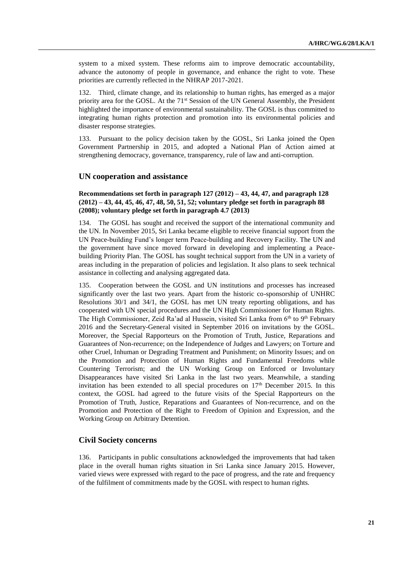system to a mixed system. These reforms aim to improve democratic accountability, advance the autonomy of people in governance, and enhance the right to vote. These priorities are currently reflected in the NHRAP 2017-2021.

132. Third, climate change, and its relationship to human rights, has emerged as a major priority area for the GOSL. At the 71<sup>st</sup> Session of the UN General Assembly, the President highlighted the importance of environmental sustainability. The GOSL is thus committed to integrating human rights protection and promotion into its environmental policies and disaster response strategies.

133. Pursuant to the policy decision taken by the GOSL, Sri Lanka joined the Open Government Partnership in 2015, and adopted a National Plan of Action aimed at strengthening democracy, governance, transparency, rule of law and anti-corruption.

#### **UN cooperation and assistance**

## **Recommendations set forth in paragraph 127 (2012) – 43, 44, 47, and paragraph 128 (2012) – 43, 44, 45, 46, 47, 48, 50, 51, 52; voluntary pledge set forth in paragraph 88 (2008); voluntary pledge set forth in paragraph 4.7 (2013)**

134. The GOSL has sought and received the support of the international community and the UN. In November 2015, Sri Lanka became eligible to receive financial support from the UN Peace-building Fund's longer term Peace-building and Recovery Facility. The UN and the government have since moved forward in developing and implementing a Peacebuilding Priority Plan. The GOSL has sought technical support from the UN in a variety of areas including in the preparation of policies and legislation. It also plans to seek technical assistance in collecting and analysing aggregated data.

135. Cooperation between the GOSL and UN institutions and processes has increased significantly over the last two years. Apart from the historic co-sponsorship of UNHRC Resolutions 30/1 and 34/1, the GOSL has met UN treaty reporting obligations, and has cooperated with UN special procedures and the UN High Commissioner for Human Rights. The High Commissioner, Zeid Ra'ad al Hussein, visited Sri Lanka from 6<sup>th</sup> to 9<sup>th</sup> February 2016 and the Secretary-General visited in September 2016 on invitations by the GOSL. Moreover, the Special Rapporteurs on the Promotion of Truth, Justice, Reparations and Guarantees of Non-recurrence; on the Independence of Judges and Lawyers; on Torture and other Cruel, Inhuman or Degrading Treatment and Punishment; on Minority Issues; and on the Promotion and Protection of Human Rights and Fundamental Freedoms while Countering Terrorism; and the UN Working Group on Enforced or Involuntary Disappearances have visited Sri Lanka in the last two years. Meanwhile, a standing invitation has been extended to all special procedures on  $17<sup>th</sup>$  December 2015. In this context, the GOSL had agreed to the future visits of the Special Rapporteurs on the Promotion of Truth, Justice, Reparations and Guarantees of Non-recurrence, and on the Promotion and Protection of the Right to Freedom of Opinion and Expression, and the Working Group on Arbitrary Detention.

#### **Civil Society concerns**

136. Participants in public consultations acknowledged the improvements that had taken place in the overall human rights situation in Sri Lanka since January 2015. However, varied views were expressed with regard to the pace of progress, and the rate and frequency of the fulfilment of commitments made by the GOSL with respect to human rights.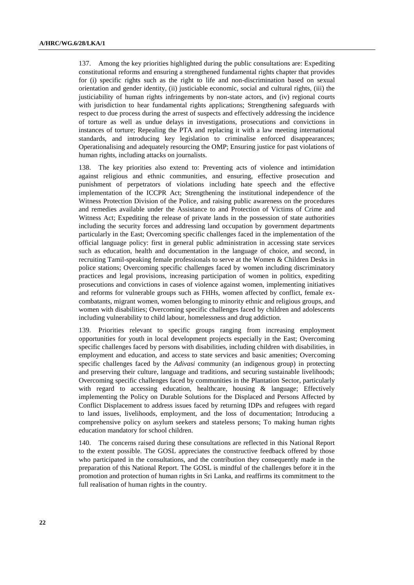137. Among the key priorities highlighted during the public consultations are: Expediting constitutional reforms and ensuring a strengthened fundamental rights chapter that provides for (i) specific rights such as the right to life and non-discrimination based on sexual orientation and gender identity, (ii) justiciable economic, social and cultural rights, (iii) the justiciability of human rights infringements by non-state actors, and (iv) regional courts with jurisdiction to hear fundamental rights applications; Strengthening safeguards with respect to due process during the arrest of suspects and effectively addressing the incidence of torture as well as undue delays in investigations, prosecutions and convictions in instances of torture; Repealing the PTA and replacing it with a law meeting international standards, and introducing key legislation to criminalise enforced disappearances; Operationalising and adequately resourcing the OMP; Ensuring justice for past violations of human rights, including attacks on journalists.

138. The key priorities also extend to: Preventing acts of violence and intimidation against religious and ethnic communities, and ensuring, effective prosecution and punishment of perpetrators of violations including hate speech and the effective implementation of the ICCPR Act; Strengthening the institutional independence of the Witness Protection Division of the Police, and raising public awareness on the procedures and remedies available under the Assistance to and Protection of Victims of Crime and Witness Act; Expediting the release of private lands in the possession of state authorities including the security forces and addressing land occupation by government departments particularly in the East; Overcoming specific challenges faced in the implementation of the official language policy: first in general public administration in accessing state services such as education, health and documentation in the language of choice, and second, in recruiting Tamil-speaking female professionals to serve at the Women & Children Desks in police stations; Overcoming specific challenges faced by women including discriminatory practices and legal provisions, increasing participation of women in politics, expediting prosecutions and convictions in cases of violence against women, implementing initiatives and reforms for vulnerable groups such as FHHs, women affected by conflict, female excombatants, migrant women, women belonging to minority ethnic and religious groups, and women with disabilities; Overcoming specific challenges faced by children and adolescents including vulnerability to child labour, homelessness and drug addiction.

139. Priorities relevant to specific groups ranging from increasing employment opportunities for youth in local development projects especially in the East; Overcoming specific challenges faced by persons with disabilities, including children with disabilities, in employment and education, and access to state services and basic amenities; Overcoming specific challenges faced by the *Adivasi* community (an indigenous group) in protecting and preserving their culture, language and traditions, and securing sustainable livelihoods; Overcoming specific challenges faced by communities in the Plantation Sector, particularly with regard to accessing education, healthcare, housing & language; Effectively implementing the Policy on Durable Solutions for the Displaced and Persons Affected by Conflict Displacement to address issues faced by returning IDPs and refugees with regard to land issues, livelihoods, employment, and the loss of documentation; Introducing a comprehensive policy on asylum seekers and stateless persons; To making human rights education mandatory for school children.

140. The concerns raised during these consultations are reflected in this National Report to the extent possible. The GOSL appreciates the constructive feedback offered by those who participated in the consultations, and the contribution they consequently made in the preparation of this National Report. The GOSL is mindful of the challenges before it in the promotion and protection of human rights in Sri Lanka, and reaffirms its commitment to the full realisation of human rights in the country.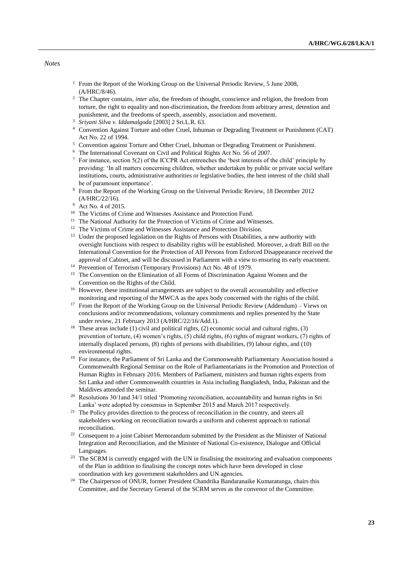*Notes*

- <sup>1</sup> From the Report of the Working Group on the Universal Periodic Review, 5 June 2008, (A/HRC/8/46).
- <sup>2</sup> The Chapter contains, *inter alia*, the freedom of thought, conscience and religion, the freedom from torture, the right to equality and non-discrimination, the freedom from arbitrary arrest, detention and punishment, and the freedoms of speech, assembly, association and movement.
- <sup>3</sup> *Sriyani Silva v. Iddamalgoda* [2003] 2 Sri.L.R. 63.
- <sup>4</sup> Convention Against Torture and other Cruel, Inhuman or Degrading Treatment or Punishment (CAT) Act No. 22 of 1994.
- <sup>5</sup> Convention against Torture and Other Cruel, Inhuman or Degrading Treatment or Punishment.
- <sup>6</sup> The International Covenant on Civil and Political Rights Act No. 56 of 2007.
- $\frac{7}{10}$  For instance, section 5(2) of the ICCPR Act entrenches the 'best interests of the child' principle by providing: 'In all matters concerning children, whether undertaken by public or private social welfare institutions, courts, administrative authorities or legislative bodies, the best interest of the child shall be of paramount importance'.
- <sup>8</sup> From the Report of the Working Group on the Universal Periodic Review, 18 December 2012 (A/HRC/22/16).
- <sup>9</sup> Act No. 4 of 2015.
- <sup>10</sup> The Victims of Crime and Witnesses Assistance and Protection Fund.
- $^{11}\,$  The National Authority for the Protection of Victims of Crime and Witnesses.
- <sup>12</sup> The Victims of Crime and Witnesses Assistance and Protection Division.
- <sup>13</sup> Under the proposed legislation on the Rights of Persons with Disabilities, a new authority with oversight functions with respect to disability rights will be established. Moreover, a draft Bill on the International Convention for the Protection of All Persons from Enforced Disappearance received the approval of Cabinet, and will be discussed in Parliament with a view to ensuring its early enactment.
- <sup>14</sup> Prevention of Terrorism (Temporary Provisions) Act No. 48 of 1979.
- <sup>15</sup> The Convention on the Elimination of all Forms of Discrimination Against Women and the Convention on the Rights of the Child.
- <sup>16</sup> However, these institutional arrangements are subject to the overall accountability and effective monitoring and reporting of the MWCA as the apex body concerned with the rights of the child.
- <sup>17</sup> From the Report of the Working Group on the Universal Periodic Review (Addendum) Views on conclusions and/or recommendations, voluntary commitments and replies presented by the State under review, 21 February 2013 (A/HRC/22/16/Add.1).
- <sup>18</sup> These areas include (1) civil and political rights, (2) economic social and cultural rights, (3) prevention of torture, (4) women's rights, (5) child rights, (6) rights of migrant workers, (7) rights of internally displaced persons, (8) rights of persons with disabilities, (9) labour rights, and (10) environmental rights.
- <sup>19</sup> For instance, the Parliament of Sri Lanka and the Commonwealth Parliamentary Association hosted a Commonwealth Regional Seminar on the Role of Parliamentarians in the Promotion and Protection of Human Rights in February 2016. Members of Parliament, ministers and human rights experts from Sri Lanka and other Commonwealth countries in Asia including Bangladesh, India, Pakistan and the Maldives attended the seminar.
- <sup>20</sup> Resolutions 30/1 and 34/1 titled 'Promoting reconciliation, accountability and human rights in Sri Lanka' were adopted by consensus in September 2015 and March 2017 respectively.
- <sup>21</sup> The Policy provides direction to the process of reconciliation in the country, and steers all stakeholders working on reconciliation towards a uniform and coherent approach to national reconciliation.
- <sup>22</sup> Consequent to a joint Cabinet Memorandum submitted by the President as the Minister of National Integration and Reconciliation, and the Minister of National Co-existence, Dialogue and Official Languages.
- <sup>23</sup> The SCRM is currently engaged with the UN in finalising the monitoring and evaluation components of the Plan in addition to finalising the concept notes which have been developed in close coordination with key government stakeholders and UN agencies.
- <sup>24</sup> The Chairperson of ONUR, former President Chandrika Bandaranaike Kumaratunga, chairs this Committee, and the Secretary General of the SCRM serves as the convenor of the Committee.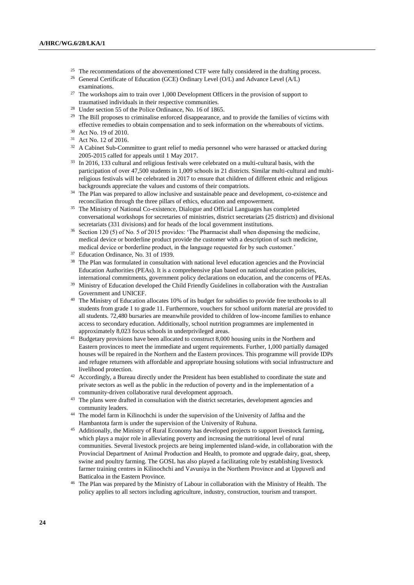- <sup>25</sup> The recommendations of the abovementioned CTF were fully considered in the drafting process. <sup>26</sup> General Certificate of Education (GCE) Ordinary Level (O/L) and Advance Level (A/L) examinations.
- $27$  The workshops aim to train over 1,000 Development Officers in the provision of support to traumatised individuals in their respective communities.
- <sup>28</sup> Under section 55 of the Police Ordinance, No. 16 of 1865.
- <sup>29</sup> The Bill proposes to criminalise enforced disappearance, and to provide the families of victims with effective remedies to obtain compensation and to seek information on the whereabouts of victims.
- <sup>30</sup> Act No. 19 of 2010.
- <sup>31</sup> Act No. 12 of 2016.
- <sup>32</sup> A Cabinet Sub-Committee to grant relief to media personnel who were harassed or attacked during 2005-2015 called for appeals until 1 May 2017.
- <sup>33</sup> In 2016, 133 cultural and religious festivals were celebrated on a multi-cultural basis, with the participation of over 47,500 students in 1,009 schools in 21 districts. Similar multi-cultural and multireligious festivals will be celebrated in 2017 to ensure that children of different ethnic and religious backgrounds appreciate the values and customs of their compatriots.
- <sup>34</sup> The Plan was prepared to allow inclusive and sustainable peace and development, co-existence and reconciliation through the three pillars of ethics, education and empowerment.
- <sup>35</sup> The Ministry of National Co-existence, Dialogue and Official Languages has completed conversational workshops for secretaries of ministries, district secretariats (25 districts) and divisional secretariats (331 divisions) and for heads of the local government institutions.
- <sup>36</sup> Section 120 (5) of No. 5 of 2015 provides: 'The Pharmacist shall when dispensing the medicine, medical device or borderline product provide the customer with a description of such medicine, medical device or borderline product, in the language requested for by such customer.'
- <sup>37</sup> Education Ordinance, No. 31 of 1939.
- <sup>38</sup> The Plan was formulated in consultation with national level education agencies and the Provincial Education Authorities (PEAs). It is a comprehensive plan based on national education policies, international commitments, government policy declarations on education, and the concerns of PEAs.
- <sup>39</sup> Ministry of Education developed the Child Friendly Guidelines in collaboration with the Australian Government and UNICEF.
- <sup>40</sup> The Ministry of Education allocates 10% of its budget for subsidies to provide free textbooks to all students from grade 1 to grade 11. Furthermore, vouchers for school uniform material are provided to all students. 72,480 bursaries are meanwhile provided to children of low-income families to enhance access to secondary education. Additionally, school nutrition programmes are implemented in approximately 8,023 focus schools in underprivileged areas.
- <sup>41</sup> Budgetary provisions have been allocated to construct 8,000 housing units in the Northern and Eastern provinces to meet the immediate and urgent requirements. Further, 1,000 partially damaged houses will be repaired in the Northern and the Eastern provinces. This programme will provide IDPs and refugee returnees with affordable and appropriate housing solutions with social infrastructure and livelihood protection.
- <sup>42</sup> Accordingly, a Bureau directly under the President has been established to coordinate the state and private sectors as well as the public in the reduction of poverty and in the implementation of a community-driven collaborative rural development approach.
- <sup>43</sup> The plans were drafted in consultation with the district secretaries, development agencies and community leaders.
- <sup>44</sup> The model farm in Kilinochchi is under the supervision of the University of Jaffna and the Hambantota farm is under the supervision of the University of Ruhuna.
- <sup>45</sup> Additionally, the Ministry of Rural Economy has developed projects to support livestock farming, which plays a major role in alleviating poverty and increasing the nutritional level of rural communities. Several livestock projects are being implemented island-wide, in collaboration with the Provincial Department of Animal Production and Health, to promote and upgrade dairy, goat, sheep, swine and poultry farming. The GOSL has also played a facilitating role by establishing livestock farmer training centres in Kilinochchi and Vavuniya in the Northern Province and at Uppuveli and Batticaloa in the Eastern Province.
- <sup>46</sup> The Plan was prepared by the Ministry of Labour in collaboration with the Ministry of Health. The policy applies to all sectors including agriculture, industry, construction, tourism and transport.